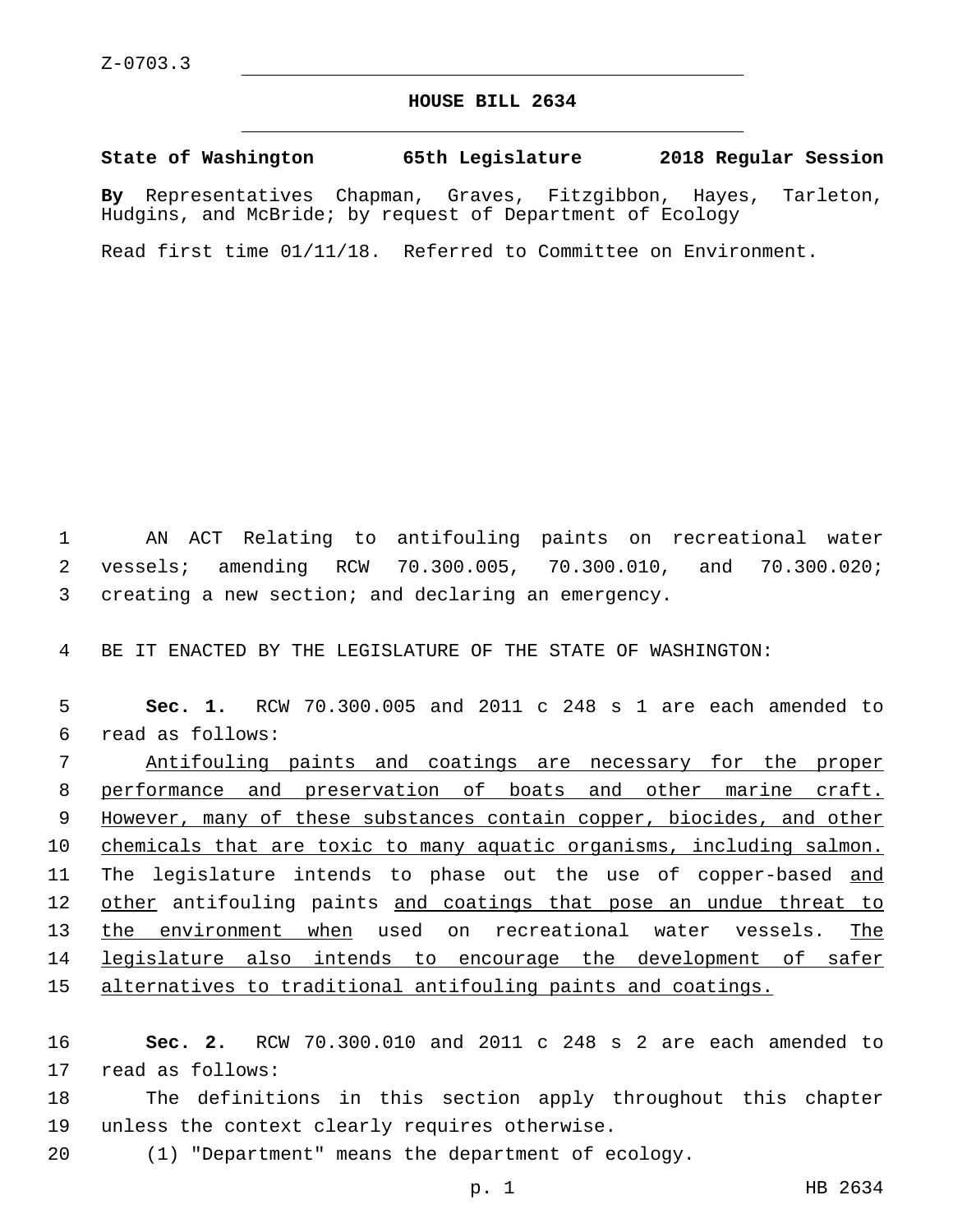## **HOUSE BILL 2634**

**State of Washington 65th Legislature 2018 Regular Session**

**By** Representatives Chapman, Graves, Fitzgibbon, Hayes, Tarleton, Hudgins, and McBride; by request of Department of Ecology

Read first time 01/11/18. Referred to Committee on Environment.

1 AN ACT Relating to antifouling paints on recreational water 2 vessels; amending RCW 70.300.005, 70.300.010, and 70.300.020; 3 creating a new section; and declaring an emergency.

4 BE IT ENACTED BY THE LEGISLATURE OF THE STATE OF WASHINGTON:

5 **Sec. 1.** RCW 70.300.005 and 2011 c 248 s 1 are each amended to read as follows:6

 Antifouling paints and coatings are necessary for the proper performance and preservation of boats and other marine craft. However, many of these substances contain copper, biocides, and other 10 chemicals that are toxic to many aquatic organisms, including salmon. 11 The legislature intends to phase out the use of copper-based and 12 other antifouling paints and coatings that pose an undue threat to the environment when used on recreational water vessels. The legislature also intends to encourage the development of safer alternatives to traditional antifouling paints and coatings.

16 **Sec. 2.** RCW 70.300.010 and 2011 c 248 s 2 are each amended to 17 read as follows:

18 The definitions in this section apply throughout this chapter 19 unless the context clearly requires otherwise.

20 (1) "Department" means the department of ecology.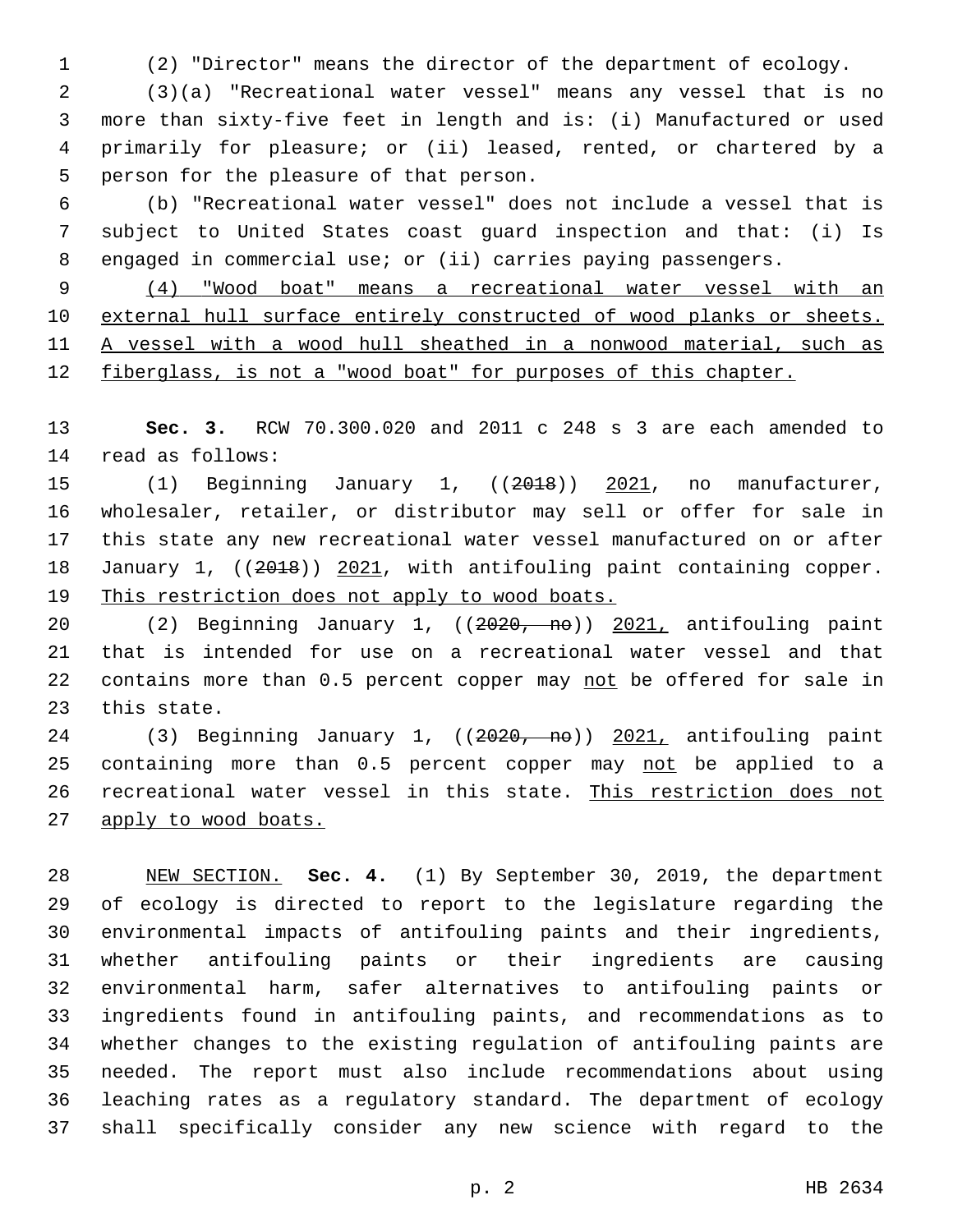(2) "Director" means the director of the department of ecology.

 (3)(a) "Recreational water vessel" means any vessel that is no more than sixty-five feet in length and is: (i) Manufactured or used primarily for pleasure; or (ii) leased, rented, or chartered by a 5 person for the pleasure of that person.

 (b) "Recreational water vessel" does not include a vessel that is subject to United States coast guard inspection and that: (i) Is engaged in commercial use; or (ii) carries paying passengers.

 (4) "Wood boat" means a recreational water vessel with an external hull surface entirely constructed of wood planks or sheets. A vessel with a wood hull sheathed in a nonwood material, such as fiberglass, is not a "wood boat" for purposes of this chapter.

 **Sec. 3.** RCW 70.300.020 and 2011 c 248 s 3 are each amended to 14 read as follows:

15 (1) Beginning January 1, ((2018)) 2021, no manufacturer, wholesaler, retailer, or distributor may sell or offer for sale in this state any new recreational water vessel manufactured on or after 18 January 1, ((2018)) 2021, with antifouling paint containing copper. This restriction does not apply to wood boats.

 (2) Beginning January 1, ((2020, no)) 2021, antifouling paint that is intended for use on a recreational water vessel and that 22 contains more than 0.5 percent copper may not be offered for sale in 23 this state.

24 (3) Beginning January 1, ((2020, no)) 2021, antifouling paint 25 containing more than 0.5 percent copper may not be applied to a recreational water vessel in this state. This restriction does not 27 apply to wood boats.

 NEW SECTION. **Sec. 4.** (1) By September 30, 2019, the department of ecology is directed to report to the legislature regarding the environmental impacts of antifouling paints and their ingredients, whether antifouling paints or their ingredients are causing environmental harm, safer alternatives to antifouling paints or ingredients found in antifouling paints, and recommendations as to whether changes to the existing regulation of antifouling paints are needed. The report must also include recommendations about using leaching rates as a regulatory standard. The department of ecology shall specifically consider any new science with regard to the